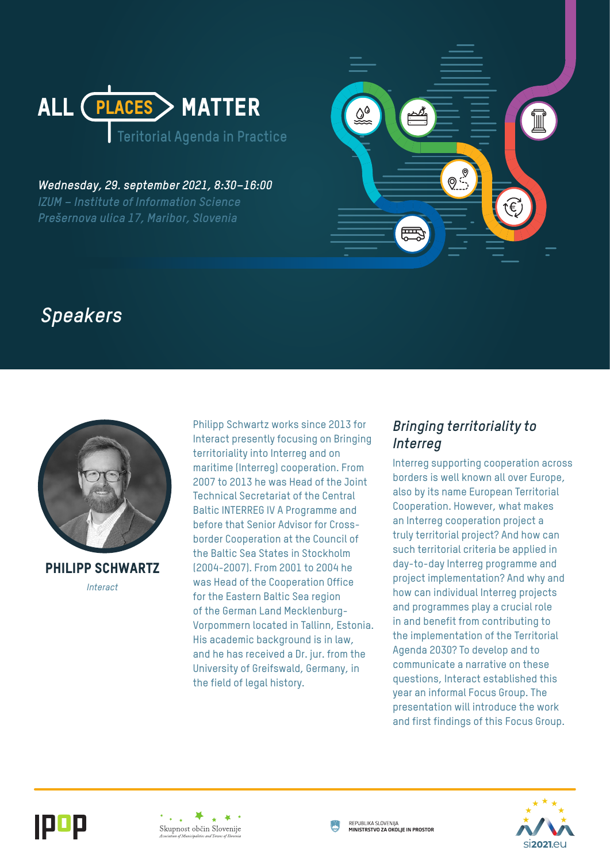

*Wednesday, 29. september 2021, 8:30–16:00 IZUM – Institute of Information Science Prešernova ulica 17, Maribor, Slovenia* 



# *Speakers*



Philipp Schwartz *Interact*

Philipp Schwartz works since 2013 for Interact presently focusing on Bringing territoriality into Interreg and on maritime (Interreg) cooperation. From 2007 to 2013 he was Head of the Joint Technical Secretariat of the Central Baltic INTERREG IV A Programme and before that Senior Advisor for Crossborder Cooperation at the Council of the Baltic Sea States in Stockholm (2004-2007). From 2001 to 2004 he was Head of the Cooperation Office for the Eastern Baltic Sea region of the German Land Mecklenburg-Vorpommern located in Tallinn, Estonia. His academic background is in law, and he has received a Dr. jur. from the University of Greifswald, Germany, in the field of legal history.

### *Bringing territoriality to Interreg*

Interreg supporting cooperation across borders is well known all over Europe, also by its name European Territorial Cooperation. However, what makes an Interreg cooperation project a truly territorial project? And how can such territorial criteria be applied in day-to-day Interreg programme and project implementation? And why and how can individual Interreg projects and programmes play a crucial role in and benefit from contributing to the implementation of the Territorial Agenda 2030? To develop and to communicate a narrative on these questions, Interact established this year an informal Focus Group. The presentation will introduce the work and first findings of this Focus Group.







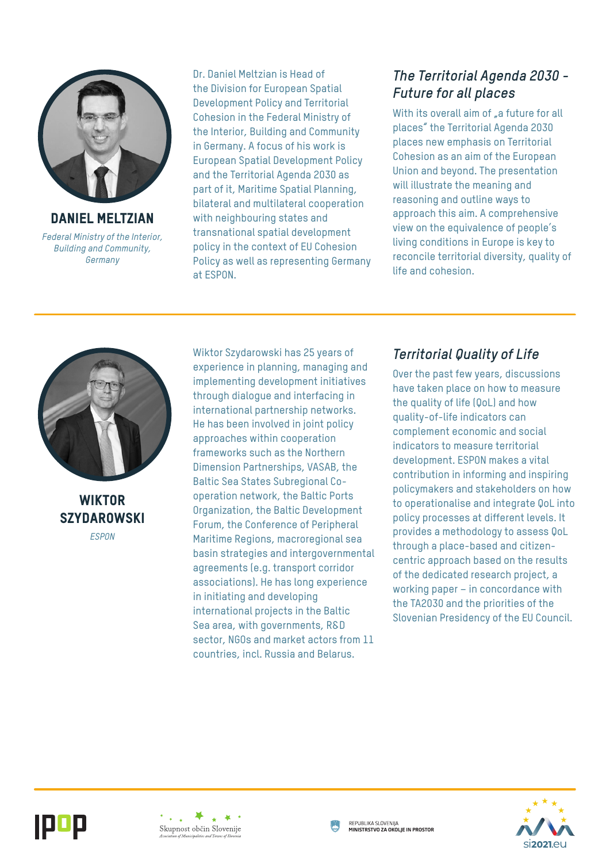

Daniel Meltzian *Federal Ministry of the Interior, Building and Community, Germany*

Dr. Daniel Meltzian is Head of the Division for European Spatial Development Policy and Territorial Cohesion in the Federal Ministry of the Interior, Building and Community in Germany. A focus of his work is European Spatial Development Policy and the Territorial Agenda 2030 as part of it, Maritime Spatial Planning, bilateral and multilateral cooperation with neighbouring states and transnational spatial development policy in the context of EU Cohesion Policy as well as representing Germany at ESPON.

## *The Territorial Agenda 2030 - Future for all places*

With its overall aim of <sub>r</sub>a future for all places" the Territorial Agenda 2030 places new emphasis on Territorial Cohesion as an aim of the European Union and beyond. The presentation will illustrate the meaning and reasoning and outline ways to approach this aim. A comprehensive view on the equivalence of people's living conditions in Europe is key to reconcile territorial diversity, quality of life and cohesion.



**WIKTOR SZYDAROWSKI** *ESPON*

Wiktor Szydarowski has 25 years of experience in planning, managing and implementing development initiatives through dialogue and interfacing in international partnership networks. He has been involved in joint policy approaches within cooperation frameworks such as the Northern Dimension Partnerships, VASAB, the Baltic Sea States Subregional Cooperation network, the Baltic Ports Organization, the Baltic Development Forum, the Conference of Peripheral Maritime Regions, macroregional sea basin strategies and intergovernmental agreements (e.g. transport corridor associations). He has long experience in initiating and developing international projects in the Baltic Sea area, with governments, R&D sector, NGOs and market actors from 11 countries, incl. Russia and Belarus.

## *Territorial Quality of Life*

Over the past few years, discussions have taken place on how to measure the quality of life (QoL) and how quality-of-life indicators can complement economic and social indicators to measure territorial development. ESPON makes a vital contribution in informing and inspiring policymakers and stakeholders on how to operationalise and integrate QoL into policy processes at different levels. It provides a methodology to assess QoL through a place-based and citizencentric approach based on the results of the dedicated research project, a working paper – in concordance with the TA2030 and the priorities of the Slovenian Presidency of the EU Council.





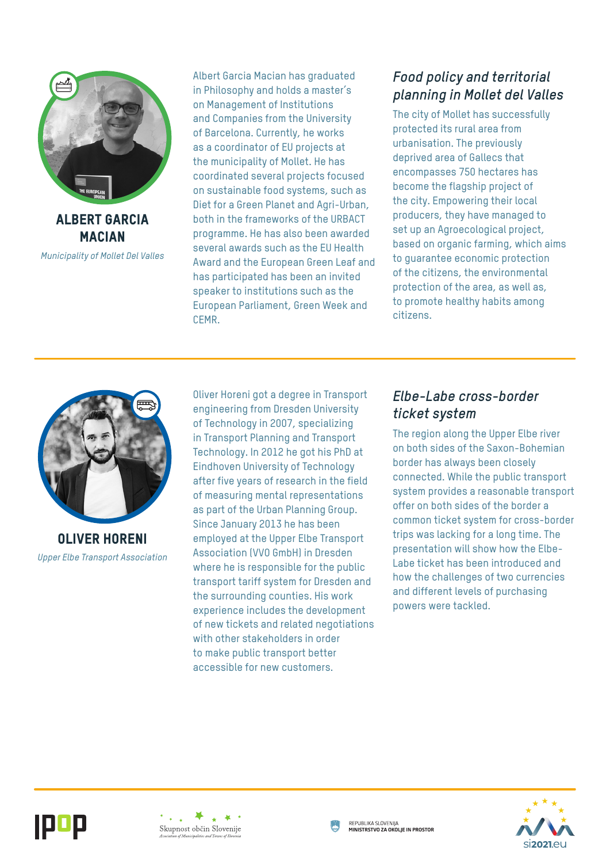

Albert Garcia **MACIAN** 

*Municipality of Mollet Del Valles*

Albert Garcia Macian has graduated in Philosophy and holds a master's on Management of Institutions and Companies from the University of Barcelona. Currently, he works as a coordinator of EU projects at the municipality of Mollet. He has coordinated several projects focused on sustainable food systems, such as Diet for a Green Planet and Agri-Urban, both in the frameworks of the URBACT programme. He has also been awarded several awards such as the EU Health Award and the European Green Leaf and has participated has been an invited speaker to institutions such as the European Parliament, Green Week and CEMR.

## *Food policy and territorial planning in Mollet del Valles*

The city of Mollet has successfully protected its rural area from urbanisation. The previously deprived area of Gallecs that encompasses 750 hectares has become the flagship project of the city. Empowering their local producers, they have managed to set up an Agroecological project, based on organic farming, which aims to guarantee economic protection of the citizens, the environmental protection of the area, as well as, to promote healthy habits among citizens.



Oliver Horeni *Upper Elbe Transport Association* Oliver Horeni got a degree in Transport engineering from Dresden University of Technology in 2007, specializing in Transport Planning and Transport Technology. In 2012 he got his PhD at Eindhoven University of Technology after five years of research in the field of measuring mental representations as part of the Urban Planning Group. Since January 2013 he has been employed at the Upper Elbe Transport Association (VVO GmbH) in Dresden where he is responsible for the public transport tariff system for Dresden and the surrounding counties. His work experience includes the development of new tickets and related negotiations with other stakeholders in order to make public transport better accessible for new customers.

## *Elbe-Labe cross-border ticket system*

The region along the Upper Elbe river on both sides of the Saxon-Bohemian border has always been closely connected. While the public transport system provides a reasonable transport offer on both sides of the border a common ticket system for cross-border trips was lacking for a long time. The presentation will show how the Elbe-Labe ticket has been introduced and how the challenges of two currencies and different levels of purchasing powers were tackled.





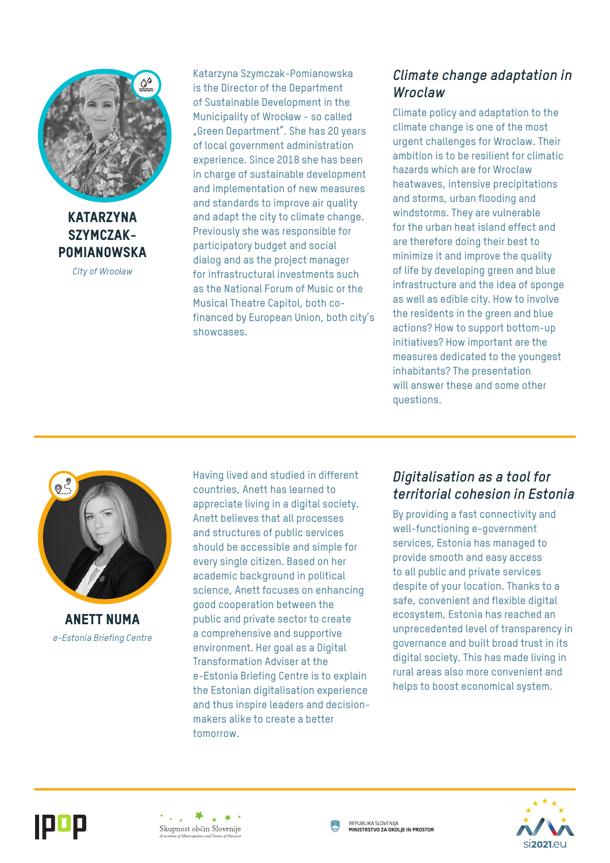

**KATARZYNA** Szymczak-**POMIANOWSKA** 

*City of Wrocław*

Katarzyna Szymczak-Pomianowska is the Director of the Department of Sustainable Development in the Municipality of Wrocław - so called "Green Department". She has 20 years of local government administration experience. Since 2018 she has been in charge of sustainable development and implementation of new measures and standards to improve air quality and adapt the city to climate change. Previously she was responsible for participatory budget and social dialog and as the project manager for infrastructural investments such as the National Forum of Music or the Musical Theatre Capitol, both cofinanced by European Union, both city's showcases.

### *Climate change adaptation in Wroclaw*

Climate policy and adaptation to the climate change is one of the most urgent challenges for Wroclaw. Their ambition is to be resilient for climatic hazards which are for Wroclaw heatwaves, intensive precipitations and storms, urban flooding and windstorms. They are vulnerable for the urban heat island effect and are therefore doing their best to minimize it and improve the quality of life by developing green and blue infrastructure and the idea of sponge as well as edible city. How to involve the residents in the green and blue actions? How to support bottom-up initiatives? How important are the measures dedicated to the youngest inhabitants? The presentation will answer these and some other questions.



Anett Numa *e-Estonia Briefing Centre* Having lived and studied in different countries, Anett has learned to appreciate living in a digital society. Anett believes that all processes and structures of public services should be accessible and simple for every single citizen. Based on her academic background in political science, Anett focuses on enhancing good cooperation between the public and private sector to create a comprehensive and supportive environment. Her goal as a Digital Transformation Adviser at the e-Estonia Briefing Centre is to explain the Estonian digitalisation experience and thus inspire leaders and decisionmakers alike to create a better tomorrow.

### *Digitalisation as a tool for territorial cohesion in Estonia*

By providing a fast connectivity and well-functioning e-government services, Estonia has managed to provide smooth and easy access to all public and private services despite of your location. Thanks to a safe, convenient and flexible digital ecosystem, Estonia has reached an unprecedented level of transparency in governance and built broad trust in its digital society. This has made living in rural areas also more convenient and helps to boost economical system.